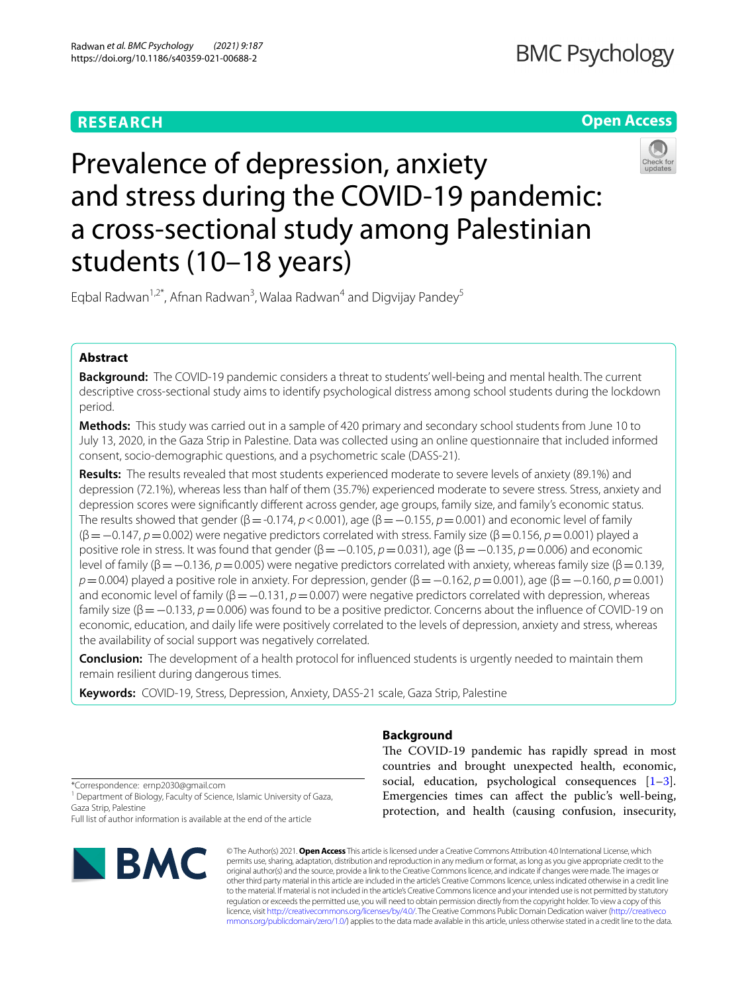# **RESEARCH**

# **Open Access**



# Prevalence of depression, anxiety and stress during the COVID-19 pandemic: a cross-sectional study among Palestinian students (10–18 years)

Eqbal Radwan<sup>1,2\*</sup>, Afnan Radwan<sup>3</sup>, Walaa Radwan<sup>4</sup> and Digvijay Pandey<sup>5</sup>

# **Abstract**

**Background:** The COVID-19 pandemic considers a threat to students' well-being and mental health. The current descriptive cross-sectional study aims to identify psychological distress among school students during the lockdown period.

**Methods:** This study was carried out in a sample of 420 primary and secondary school students from June 10 to July 13, 2020, in the Gaza Strip in Palestine. Data was collected using an online questionnaire that included informed consent, socio-demographic questions, and a psychometric scale (DASS-21).

**Results:** The results revealed that most students experienced moderate to severe levels of anxiety (89.1%) and depression (72.1%), whereas less than half of them (35.7%) experienced moderate to severe stress. Stress, anxiety and depression scores were signifcantly diferent across gender, age groups, family size, and family's economic status. The results showed that gender ( $\beta$  = -0.174,  $p$  < 0.001), age ( $\beta$  = -0.155,  $p$  = 0.001) and economic level of family (β=−0.147, *p*=0.002) were negative predictors correlated with stress. Family size (β=0.156, *p*=0.001) played a positive role in stress. It was found that gender (β=−0.105, *p*=0.031), age (β=−0.135, *p*=0.006) and economic level of family (β=−0.136, *p*=0.005) were negative predictors correlated with anxiety, whereas family size (β=0.139, *p*=0.004) played a positive role in anxiety. For depression, gender (β=−0.162, *p*=0.001), age (β=−0.160, *p*=0.001) and economic level of family (β = −0.131, *p* = 0.007) were negative predictors correlated with depression, whereas family size (β=−0.133, *p*=0.006) was found to be a positive predictor. Concerns about the infuence of COVID-19 on economic, education, and daily life were positively correlated to the levels of depression, anxiety and stress, whereas the availability of social support was negatively correlated.

**Conclusion:** The development of a health protocol for infuenced students is urgently needed to maintain them remain resilient during dangerous times.

**Keywords:** COVID-19, Stress, Depression, Anxiety, DASS-21 scale, Gaza Strip, Palestine

## **Background**

The COVID-19 pandemic has rapidly spread in most countries and brought unexpected health, economic, social, education, psychological consequences  $[1-3]$  $[1-3]$ . Emergencies times can afect the public's well-being, protection, and health (causing confusion, insecurity,

\*Correspondence: ernp2030@gmail.com

<sup>1</sup> Department of Biology, Faculty of Science, Islamic University of Gaza, Gaza Strip, Palestine

Full list of author information is available at the end of the article



© The Author(s) 2021. **Open Access** This article is licensed under a Creative Commons Attribution 4.0 International License, which permits use, sharing, adaptation, distribution and reproduction in any medium or format, as long as you give appropriate credit to the original author(s) and the source, provide a link to the Creative Commons licence, and indicate if changes were made. The images or other third party material in this article are included in the article's Creative Commons licence, unless indicated otherwise in a credit line to the material. If material is not included in the article's Creative Commons licence and your intended use is not permitted by statutory regulation or exceeds the permitted use, you will need to obtain permission directly from the copyright holder. To view a copy of this licence, visit [http://creativecommons.org/licenses/by/4.0/.](http://creativecommons.org/licenses/by/4.0/) The Creative Commons Public Domain Dedication waiver ([http://creativeco](http://creativecommons.org/publicdomain/zero/1.0/) [mmons.org/publicdomain/zero/1.0/](http://creativecommons.org/publicdomain/zero/1.0/)) applies to the data made available in this article, unless otherwise stated in a credit line to the data.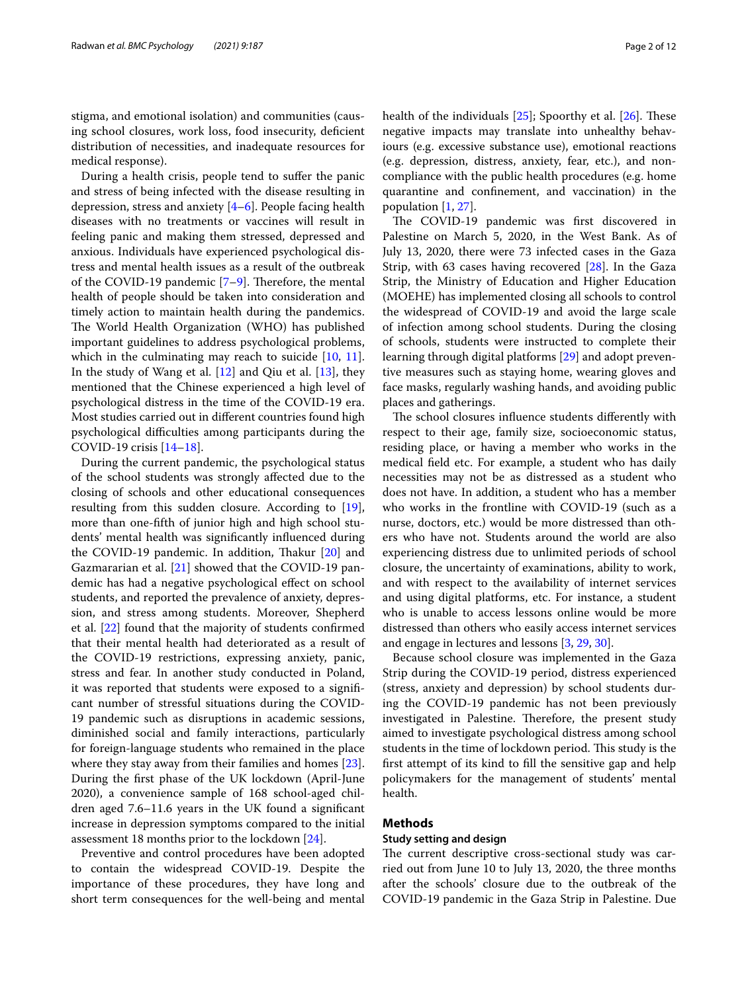stigma, and emotional isolation) and communities (causing school closures, work loss, food insecurity, defcient distribution of necessities, and inadequate resources for medical response).

During a health crisis, people tend to sufer the panic and stress of being infected with the disease resulting in depression, stress and anxiety [\[4–](#page-10-0)[6\]](#page-10-1). People facing health diseases with no treatments or vaccines will result in feeling panic and making them stressed, depressed and anxious. Individuals have experienced psychological distress and mental health issues as a result of the outbreak of the COVID-1[9](#page-10-3) pandemic  $[7-9]$ . Therefore, the mental health of people should be taken into consideration and timely action to maintain health during the pandemics. The World Health Organization (WHO) has published important guidelines to address psychological problems, which in the culminating may reach to suicide  $[10, 11]$  $[10, 11]$  $[10, 11]$  $[10, 11]$  $[10, 11]$ . In the study of Wang et al. [[12\]](#page-10-6) and Qiu et al. [\[13](#page-10-7)], they mentioned that the Chinese experienced a high level of psychological distress in the time of the COVID-19 era. Most studies carried out in diferent countries found high psychological difficulties among participants during the COVID-19 crisis [\[14–](#page-10-8)[18\]](#page-10-9).

During the current pandemic, the psychological status of the school students was strongly afected due to the closing of schools and other educational consequences resulting from this sudden closure. According to [\[19](#page-10-10)], more than one-ffth of junior high and high school students' mental health was signifcantly infuenced during the COVID-19 pandemic. In addition, Thakur [\[20](#page-10-11)] and Gazmararian et al. [[21\]](#page-10-12) showed that the COVID-19 pandemic has had a negative psychological efect on school students, and reported the prevalence of anxiety, depression, and stress among students. Moreover, Shepherd et al. [\[22\]](#page-10-13) found that the majority of students confrmed that their mental health had deteriorated as a result of the COVID-19 restrictions, expressing anxiety, panic, stress and fear. In another study conducted in Poland, it was reported that students were exposed to a signifcant number of stressful situations during the COVID-19 pandemic such as disruptions in academic sessions, diminished social and family interactions, particularly for foreign-language students who remained in the place where they stay away from their families and homes [\[23](#page-10-14)]. During the frst phase of the UK lockdown (April-June 2020), a convenience sample of 168 school-aged children aged 7.6–11.6 years in the UK found a signifcant increase in depression symptoms compared to the initial assessment 18 months prior to the lockdown [[24\]](#page-10-15).

Preventive and control procedures have been adopted to contain the widespread COVID-19. Despite the importance of these procedures, they have long and short term consequences for the well-being and mental health of the individuals  $[25]$  $[25]$ ; Spoorthy et al.  $[26]$  $[26]$  $[26]$ . These negative impacts may translate into unhealthy behaviours (e.g. excessive substance use), emotional reactions (e.g. depression, distress, anxiety, fear, etc.), and noncompliance with the public health procedures (e.g. home quarantine and confnement, and vaccination) in the population [[1,](#page-9-0) [27](#page-10-18)].

The COVID-19 pandemic was first discovered in Palestine on March 5, 2020, in the West Bank. As of July 13, 2020, there were 73 infected cases in the Gaza Strip, with 63 cases having recovered [\[28](#page-10-19)]. In the Gaza Strip, the Ministry of Education and Higher Education (MOEHE) has implemented closing all schools to control the widespread of COVID-19 and avoid the large scale of infection among school students. During the closing of schools, students were instructed to complete their learning through digital platforms [[29](#page-10-20)] and adopt preventive measures such as staying home, wearing gloves and face masks, regularly washing hands, and avoiding public places and gatherings.

The school closures influence students differently with respect to their age, family size, socioeconomic status, residing place, or having a member who works in the medical feld etc. For example, a student who has daily necessities may not be as distressed as a student who does not have. In addition, a student who has a member who works in the frontline with COVID-19 (such as a nurse, doctors, etc.) would be more distressed than others who have not. Students around the world are also experiencing distress due to unlimited periods of school closure, the uncertainty of examinations, ability to work, and with respect to the availability of internet services and using digital platforms, etc. For instance, a student who is unable to access lessons online would be more distressed than others who easily access internet services and engage in lectures and lessons [[3,](#page-9-1) [29](#page-10-20), [30](#page-10-21)].

Because school closure was implemented in the Gaza Strip during the COVID-19 period, distress experienced (stress, anxiety and depression) by school students during the COVID-19 pandemic has not been previously investigated in Palestine. Therefore, the present study aimed to investigate psychological distress among school students in the time of lockdown period. This study is the frst attempt of its kind to fll the sensitive gap and help policymakers for the management of students' mental health.

## **Methods**

## **Study setting and design**

The current descriptive cross-sectional study was carried out from June 10 to July 13, 2020, the three months after the schools' closure due to the outbreak of the COVID-19 pandemic in the Gaza Strip in Palestine. Due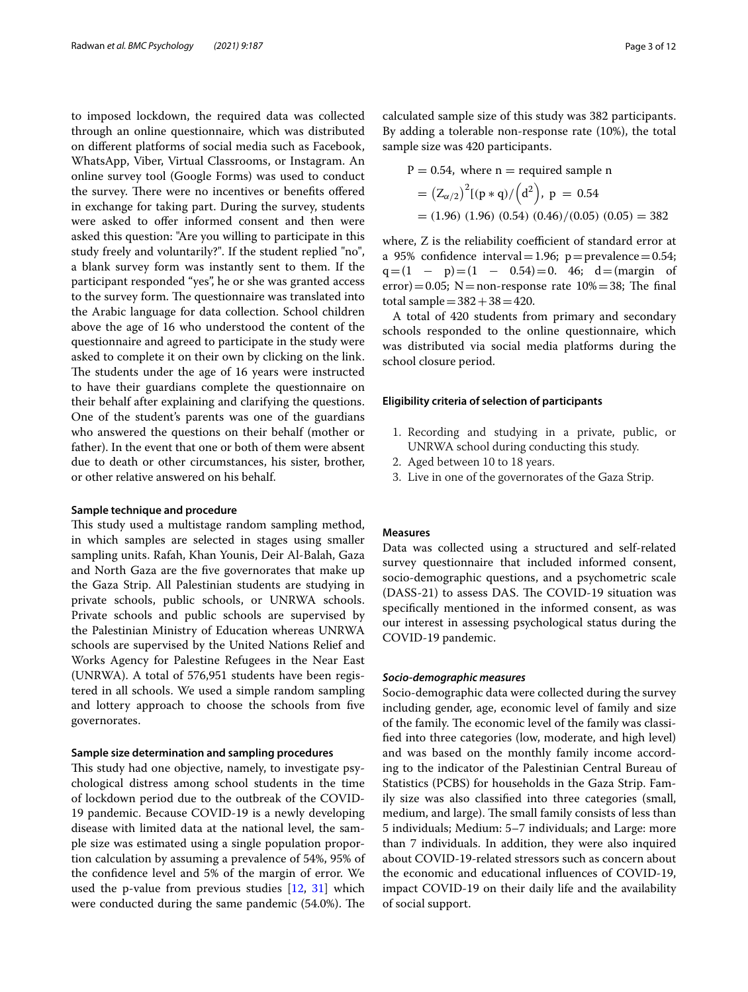to imposed lockdown, the required data was collected through an online questionnaire, which was distributed on diferent platforms of social media such as Facebook, WhatsApp, Viber, Virtual Classrooms, or Instagram. An online survey tool (Google Forms) was used to conduct the survey. There were no incentives or benefits offered in exchange for taking part. During the survey, students were asked to offer informed consent and then were asked this question: "Are you willing to participate in this study freely and voluntarily?". If the student replied "no", a blank survey form was instantly sent to them. If the participant responded "yes", he or she was granted access to the survey form. The questionnaire was translated into the Arabic language for data collection. School children above the age of 16 who understood the content of the questionnaire and agreed to participate in the study were asked to complete it on their own by clicking on the link. The students under the age of 16 years were instructed to have their guardians complete the questionnaire on their behalf after explaining and clarifying the questions. One of the student's parents was one of the guardians who answered the questions on their behalf (mother or father). In the event that one or both of them were absent due to death or other circumstances, his sister, brother, or other relative answered on his behalf.

### **Sample technique and procedure**

This study used a multistage random sampling method, in which samples are selected in stages using smaller sampling units. Rafah, Khan Younis, Deir Al-Balah, Gaza and North Gaza are the fve governorates that make up the Gaza Strip. All Palestinian students are studying in private schools, public schools, or UNRWA schools. Private schools and public schools are supervised by the Palestinian Ministry of Education whereas UNRWA schools are supervised by the United Nations Relief and Works Agency for Palestine Refugees in the Near East (UNRWA). A total of 576,951 students have been registered in all schools. We used a simple random sampling and lottery approach to choose the schools from fve governorates.

## **Sample size determination and sampling procedures**

This study had one objective, namely, to investigate psychological distress among school students in the time of lockdown period due to the outbreak of the COVID-19 pandemic. Because COVID-19 is a newly developing disease with limited data at the national level, the sample size was estimated using a single population proportion calculation by assuming a prevalence of 54%, 95% of the confdence level and 5% of the margin of error. We used the p-value from previous studies [\[12,](#page-10-6) [31](#page-10-22)] which were conducted during the same pandemic (54.0%). The

calculated sample size of this study was 382 participants. By adding a tolerable non-response rate (10%), the total sample size was 420 participants.

P = 0.54, where n = required sample n  
= 
$$
(Z_{\alpha/2})^2[(p * q)/(d^2), p = 0.54
$$
  
= (1.96) (1.96) (0.54) (0.46)/(0.05) (0.05) = 382

where, Z is the reliability coefficient of standard error at a 95% confidence interval = 1.96;  $p =$ prevalence = 0.54;  $q=(1 - p)=(1 - 0.54)=0.46; d=(margin of$ error)=0.05; N=non-response rate  $10\% = 38$ ; The final total sample $=382+38=420$ .

A total of 420 students from primary and secondary schools responded to the online questionnaire, which was distributed via social media platforms during the school closure period.

#### **Eligibility criteria of selection of participants**

- 1. Recording and studying in a private, public, or UNRWA school during conducting this study.
- 2. Aged between 10 to 18 years.
- 3. Live in one of the governorates of the Gaza Strip.

## **Measures**

Data was collected using a structured and self-related survey questionnaire that included informed consent, socio-demographic questions, and a psychometric scale (DASS-21) to assess DAS. The COVID-19 situation was specifcally mentioned in the informed consent, as was our interest in assessing psychological status during the COVID-19 pandemic.

#### *Socio‑demographic measures*

Socio-demographic data were collected during the survey including gender, age, economic level of family and size of the family. The economic level of the family was classifed into three categories (low, moderate, and high level) and was based on the monthly family income according to the indicator of the Palestinian Central Bureau of Statistics (PCBS) for households in the Gaza Strip. Family size was also classifed into three categories (small, medium, and large). The small family consists of less than 5 individuals; Medium: 5–7 individuals; and Large: more than 7 individuals. In addition, they were also inquired about COVID-19-related stressors such as concern about the economic and educational infuences of COVID-19, impact COVID-19 on their daily life and the availability of social support.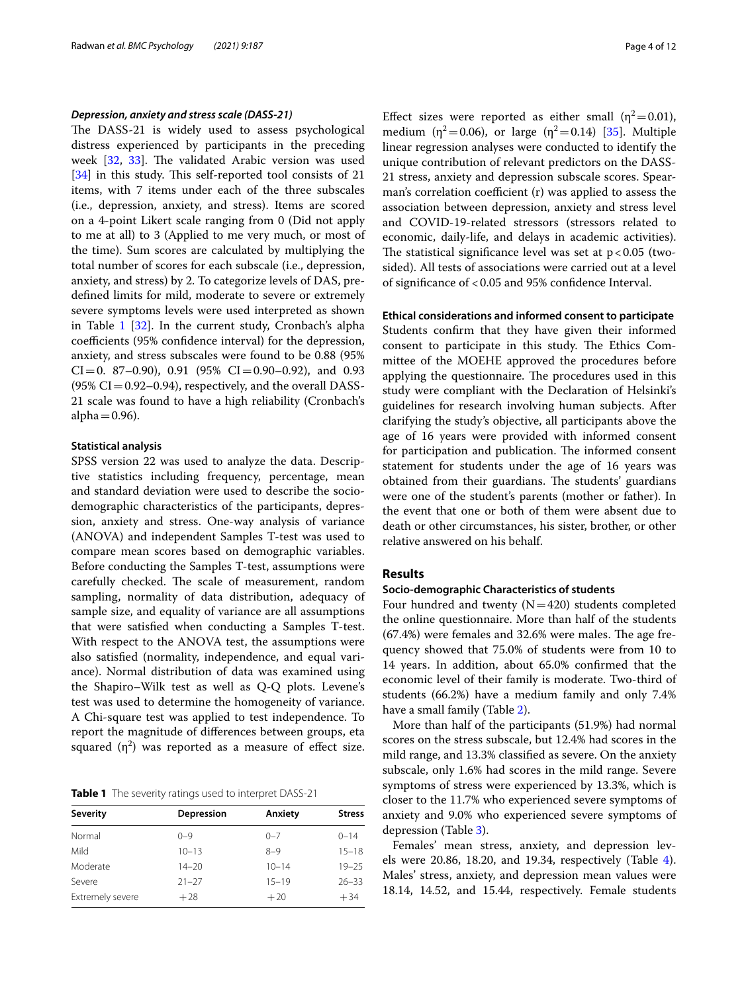#### *Depression, anxiety and stress scale (DASS‑21)*

The DASS-21 is widely used to assess psychological distress experienced by participants in the preceding week [\[32](#page-10-23), [33](#page-10-24)]. The validated Arabic version was used [[34\]](#page-10-25) in this study. This self-reported tool consists of 21 items, with 7 items under each of the three subscales (i.e., depression, anxiety, and stress). Items are scored on a 4-point Likert scale ranging from 0 (Did not apply to me at all) to 3 (Applied to me very much, or most of the time). Sum scores are calculated by multiplying the total number of scores for each subscale (i.e., depression, anxiety, and stress) by 2. To categorize levels of DAS, predefned limits for mild, moderate to severe or extremely severe symptoms levels were used interpreted as shown in Table [1](#page-3-0) [\[32](#page-10-23)]. In the current study, Cronbach's alpha coefficients (95% confidence interval) for the depression, anxiety, and stress subscales were found to be 0.88 (95%  $CI=0.87-0.90$ , 0.91 (95%  $CI=0.90-0.92$ ), and 0.93  $(95\% \text{ CI} = 0.92-0.94)$ , respectively, and the overall DASS-21 scale was found to have a high reliability (Cronbach's alpha $=0.96$ ).

## **Statistical analysis**

SPSS version 22 was used to analyze the data. Descriptive statistics including frequency, percentage, mean and standard deviation were used to describe the sociodemographic characteristics of the participants, depression, anxiety and stress. One-way analysis of variance (ANOVA) and independent Samples T-test was used to compare mean scores based on demographic variables. Before conducting the Samples T-test, assumptions were carefully checked. The scale of measurement, random sampling, normality of data distribution, adequacy of sample size, and equality of variance are all assumptions that were satisfed when conducting a Samples T-test. With respect to the ANOVA test, the assumptions were also satisfed (normality, independence, and equal variance). Normal distribution of data was examined using the Shapiro–Wilk test as well as Q-Q plots. Levene's test was used to determine the homogeneity of variance. A Chi-square test was applied to test independence. To report the magnitude of diferences between groups, eta squared  $(\eta^2)$  was reported as a measure of effect size.

<span id="page-3-0"></span>**Table 1** The severity ratings used to interpret DASS-21

| <b>Severity</b>  | Depression | Anxiety   | <b>Stress</b> |
|------------------|------------|-----------|---------------|
| Normal           | $() - 9$   | $0 - 7$   | $0 - 14$      |
| Mild             | $10 - 13$  | $8 - 9$   | $15 - 18$     |
| Moderate         | $14 - 20$  | $10 - 14$ | $19 - 25$     |
| Severe           | $21 - 27$  | $15 - 19$ | $26 - 33$     |
| Extremely severe | $+28$      | $+20$     | $+34$         |

Effect sizes were reported as either small ( $\eta^2$  = 0.01), medium ( $\eta^2$ =0.06), or large ( $\eta^2$ =0.14) [\[35\]](#page-10-26). Multiple linear regression analyses were conducted to identify the unique contribution of relevant predictors on the DASS-21 stress, anxiety and depression subscale scores. Spearman's correlation coefficient  $(r)$  was applied to assess the association between depression, anxiety and stress level and COVID-19-related stressors (stressors related to economic, daily-life, and delays in academic activities). The statistical significance level was set at  $p < 0.05$  (twosided). All tests of associations were carried out at a level of signifcance of <0.05 and 95% confdence Interval.

#### **Ethical considerations and informed consent to participate**

Students confrm that they have given their informed consent to participate in this study. The Ethics Committee of the MOEHE approved the procedures before applying the questionnaire. The procedures used in this study were compliant with the Declaration of Helsinki's guidelines for research involving human subjects. After clarifying the study's objective, all participants above the age of 16 years were provided with informed consent for participation and publication. The informed consent statement for students under the age of 16 years was obtained from their guardians. The students' guardians were one of the student's parents (mother or father). In the event that one or both of them were absent due to death or other circumstances, his sister, brother, or other relative answered on his behalf.

## **Results**

## **Socio‑demographic Characteristics of students**

Four hundred and twenty  $(N=420)$  students completed the online questionnaire. More than half of the students  $(67.4%)$  were females and 32.6% were males. The age frequency showed that 75.0% of students were from 10 to 14 years. In addition, about 65.0% confrmed that the economic level of their family is moderate. Two-third of students (66.2%) have a medium family and only 7.4% have a small family (Table [2\)](#page-4-0).

More than half of the participants (51.9%) had normal scores on the stress subscale, but 12.4% had scores in the mild range, and 13.3% classifed as severe. On the anxiety subscale, only 1.6% had scores in the mild range. Severe symptoms of stress were experienced by 13.3%, which is closer to the 11.7% who experienced severe symptoms of anxiety and 9.0% who experienced severe symptoms of depression (Table [3\)](#page-4-1).

Females' mean stress, anxiety, and depression levels were 20.86, 18.20, and 19.34, respectively (Table [4](#page-4-2)). Males' stress, anxiety, and depression mean values were 18.14, 14.52, and 15.44, respectively. Female students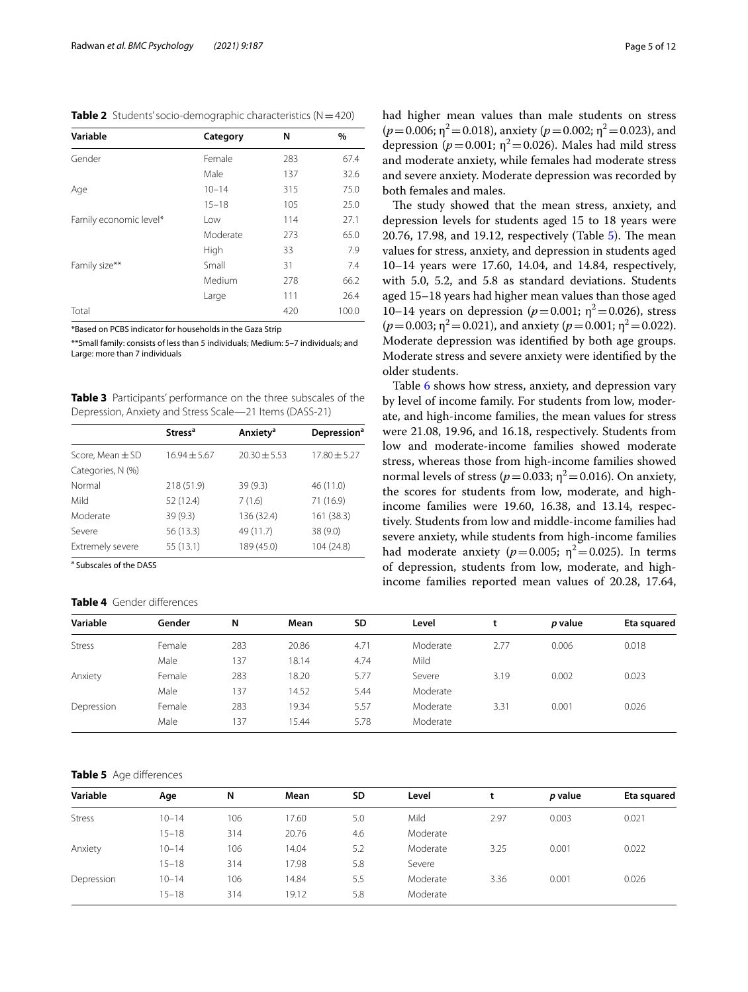<span id="page-4-0"></span>**Table 2** Students' socio-demographic characteristics (N=420)

| Variable               | Category  | N   | %     |
|------------------------|-----------|-----|-------|
| Gender                 | Female    | 283 | 67.4  |
|                        | Male      | 137 | 32.6  |
| Age                    | $10 - 14$ | 315 | 75.0  |
|                        | $15 - 18$ | 105 | 25.0  |
| Family economic level* | Low       | 114 | 27.1  |
|                        | Moderate  | 273 | 65.0  |
|                        | High      | 33  | 7.9   |
| Family size**          | Small     | 31  | 7.4   |
|                        | Medium    | 278 | 66.2  |
|                        | Large     | 111 | 26.4  |
| Total                  |           | 420 | 100.0 |

\*Based on PCBS indicator for households in the Gaza Strip

\*\*Small family: consists of less than 5 individuals; Medium: 5–7 individuals; and Large: more than 7 individuals

<span id="page-4-1"></span>**Table 3** Participants' performance on the three subscales of the Depression, Anxiety and Stress Scale—21 Items (DASS-21)

|                   | <b>Stress<sup>a</sup></b> | Anxiety <sup>a</sup> | <b>Depression</b> <sup>a</sup> |
|-------------------|---------------------------|----------------------|--------------------------------|
| Score, Mean ± SD  | $16.94 \pm 5.67$          | $20.30 + 5.53$       | $17.80 \pm 5.27$               |
| Categories, N (%) |                           |                      |                                |
| Normal            | 218 (51.9)                | 39(9.3)              | 46 (11.0)                      |
| Mild              | 52 (12.4)                 | 7(1.6)               | 71 (16.9)                      |
| Moderate          | 39(9.3)                   | 136 (32.4)           | 161 (38.3)                     |
| Severe            | 56 (13.3)                 | 49 (11.7)            | 38 (9.0)                       |
| Extremely severe  | 55 (13.1)                 | 189 (45.0)           | 104 (24.8)                     |

<sup>a</sup> Subscales of the DASS

#### <span id="page-4-2"></span>**Table 4** Gender diferences

had higher mean values than male students on stress  $(p=0.006; \eta^2=0.018)$ , anxiety  $(p=0.002; \eta^2=0.023)$ , and depression ( $p=0.001$ ;  $\eta^2=0.026$ ). Males had mild stress and moderate anxiety, while females had moderate stress and severe anxiety. Moderate depression was recorded by both females and males.

The study showed that the mean stress, anxiety, and depression levels for students aged 15 to 18 years were 20.76, 17.98, and 19.12, respectively (Table  $5$ ). The mean values for stress, anxiety, and depression in students aged 10–14 years were 17.60, 14.04, and 14.84, respectively, with 5.0, 5.2, and 5.8 as standard deviations. Students aged 15–18 years had higher mean values than those aged 10–14 years on depression ( $p = 0.001$ ; η<sup>2</sup> = 0.026), stress  $(p=0.003; \eta^2=0.021)$ , and anxiety  $(p=0.001; \eta^2=0.022)$ . Moderate depression was identifed by both age groups. Moderate stress and severe anxiety were identifed by the older students.

Table [6](#page-5-0) shows how stress, anxiety, and depression vary by level of income family. For students from low, moderate, and high-income families, the mean values for stress were 21.08, 19.96, and 16.18, respectively. Students from low and moderate-income families showed moderate stress, whereas those from high-income families showed normal levels of stress ( $p = 0.033$ ;  $\eta^2 = 0.016$ ). On anxiety, the scores for students from low, moderate, and highincome families were 19.60, 16.38, and 13.14, respectively. Students from low and middle-income families had severe anxiety, while students from high-income families had moderate anxiety ( $p=0.005$ ;  $\eta^2=0.025$ ). In terms of depression, students from low, moderate, and highincome families reported mean values of 20.28, 17.64,

| Gender | N   | Mean  | <b>SD</b> | Level    |      | p value | Eta squared |
|--------|-----|-------|-----------|----------|------|---------|-------------|
| Female | 283 | 20.86 | 4.71      | Moderate | 2.77 | 0.006   | 0.018       |
| Male   | 137 | 18.14 | 4.74      | Mild     |      |         |             |
| Female | 283 | 18.20 | 5.77      | Severe   | 3.19 | 0.002   | 0.023       |
| Male   | 137 | 14.52 | 5.44      | Moderate |      |         |             |
| Female | 283 | 19.34 | 5.57      | Moderate | 3.31 | 0.001   | 0.026       |
| Male   | 137 | 15.44 | 5.78      | Moderate |      |         |             |
|        |     |       |           |          |      |         |             |

## <span id="page-4-3"></span>**Table 5** Age diferences

| Variable      | Age       | N   | Mean  | <b>SD</b> | Level    |      | p value | Eta squared |
|---------------|-----------|-----|-------|-----------|----------|------|---------|-------------|
| <b>Stress</b> | $10 - 14$ | 106 | 17.60 | 5.0       | Mild     | 2.97 | 0.003   | 0.021       |
|               | $15 - 18$ | 314 | 20.76 | 4.6       | Moderate |      |         |             |
| Anxiety       | $10 - 14$ | 106 | 14.04 | 5.2       | Moderate | 3.25 | 0.001   | 0.022       |
|               | $15 - 18$ | 314 | 17.98 | 5.8       | Severe   |      |         |             |
| Depression    | $10 - 14$ | 106 | 14.84 | 5.5       | Moderate | 3.36 | 0.001   | 0.026       |
|               | $15 - 18$ | 314 | 19.12 | 5.8       | Moderate |      |         |             |
|               |           |     |       |           |          |      |         |             |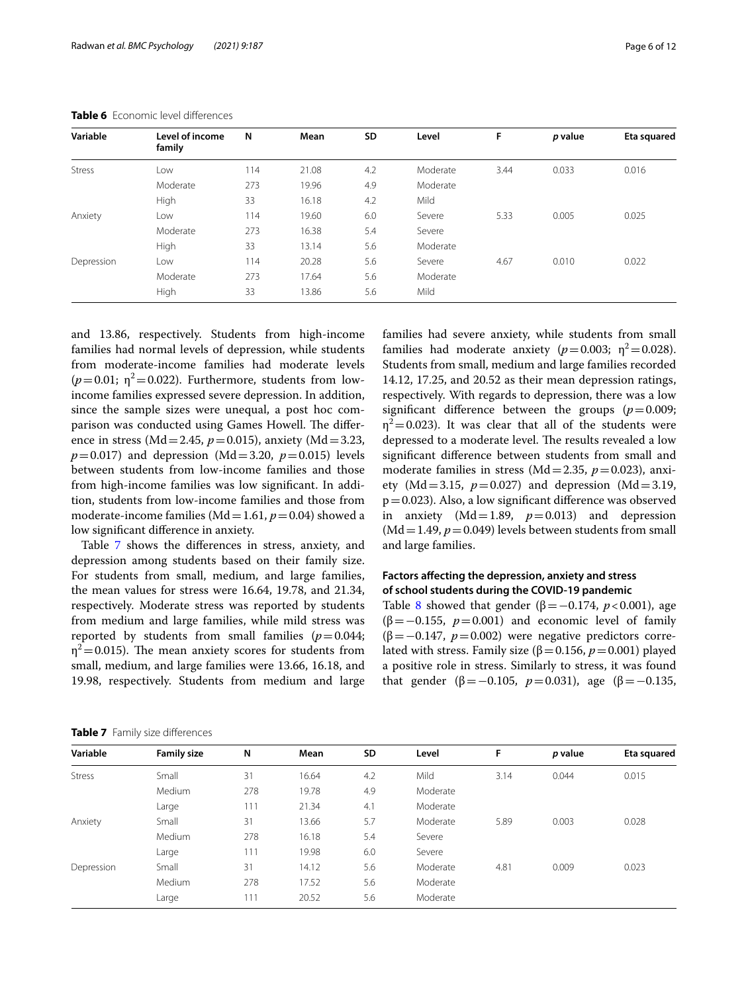| Variable      | Level of income<br>family | N   | Mean  | SD  | Level    | F    | p value | Eta squared |
|---------------|---------------------------|-----|-------|-----|----------|------|---------|-------------|
| <b>Stress</b> | Low                       | 114 | 21.08 | 4.2 | Moderate | 3.44 | 0.033   | 0.016       |
|               | Moderate                  | 273 | 19.96 | 4.9 | Moderate |      |         |             |
|               | High                      | 33  | 16.18 | 4.2 | Mild     |      |         |             |
| Anxiety       | Low                       | 114 | 19.60 | 6.0 | Severe   | 5.33 | 0.005   | 0.025       |
|               | Moderate                  | 273 | 16.38 | 5.4 | Severe   |      |         |             |
|               | <b>High</b>               | 33  | 13.14 | 5.6 | Moderate |      |         |             |
| Depression    | Low                       | 114 | 20.28 | 5.6 | Severe   | 4.67 | 0.010   | 0.022       |
|               | Moderate                  | 273 | 17.64 | 5.6 | Moderate |      |         |             |
|               | High                      | 33  | 13.86 | 5.6 | Mild     |      |         |             |

<span id="page-5-0"></span>**Table 6** Economic level diferences

and 13.86, respectively. Students from high-income families had normal levels of depression, while students from moderate-income families had moderate levels  $(p=0.01; \eta^2=0.022)$ . Furthermore, students from lowincome families expressed severe depression. In addition, since the sample sizes were unequal, a post hoc comparison was conducted using Games Howell. The difference in stress (Md=2.45, *p*=0.015), anxiety (Md=3.23,  $p=0.017$ ) and depression (Md=3.20,  $p=0.015$ ) levels between students from low-income families and those from high-income families was low signifcant. In addition, students from low-income families and those from moderate-income families (Md=1.61, *p*=0.04) showed a low signifcant diference in anxiety.

Table [7](#page-5-1) shows the diferences in stress, anxiety, and depression among students based on their family size. For students from small, medium, and large families, the mean values for stress were 16.64, 19.78, and 21.34, respectively. Moderate stress was reported by students from medium and large families, while mild stress was reported by students from small families  $(p=0.044;$  $\eta^2$  = 0.015). The mean anxiety scores for students from small, medium, and large families were 13.66, 16.18, and 19.98, respectively. Students from medium and large families had severe anxiety, while students from small families had moderate anxiety  $(p=0.003; \eta^2=0.028)$ . Students from small, medium and large families recorded 14.12, 17.25, and 20.52 as their mean depression ratings, respectively. With regards to depression, there was a low significant difference between the groups  $(p=0.009;$  $\eta^2$  = 0.023). It was clear that all of the students were depressed to a moderate level. The results revealed a low signifcant diference between students from small and moderate families in stress ( $Md = 2.35$ ,  $p = 0.023$ ), anxiety (Md=3.15,  $p=0.027$ ) and depression (Md=3.19,  $p=0.023$ ). Also, a low significant difference was observed in anxiety  $(Md=1.89, p=0.013)$  and depression  $(Md=1.49, p=0.049)$  levels between students from small and large families.

## **Factors afecting the depression, anxiety and stress of school students during the COVID‑19 pandemic**

Table [8](#page-6-0) showed that gender ( $\beta = -0.174$ ,  $p < 0.001$ ), age (β=−0.155, *p*=0.001) and economic level of family (β=−0.147, *p*=0.002) were negative predictors correlated with stress. Family size ( $β = 0.156$ ,  $p = 0.001$ ) played a positive role in stress. Similarly to stress, it was found that gender (β=-0.105,  $p=0.031$ ), age (β=-0.135,

<span id="page-5-1"></span>

| Variable      | <b>Family size</b> | N   | Mean  | SD  | Level    | F    | p value | Eta squared |
|---------------|--------------------|-----|-------|-----|----------|------|---------|-------------|
| <b>Stress</b> | Small              | 31  | 16.64 | 4.2 | Mild     | 3.14 | 0.044   | 0.015       |
|               | Medium             | 278 | 19.78 | 4.9 | Moderate |      |         |             |
|               | Large              | 111 | 21.34 | 4.1 | Moderate |      |         |             |
| Anxiety       | Small              | 31  | 13.66 | 5.7 | Moderate | 5.89 | 0.003   | 0.028       |
|               | Medium             | 278 | 16.18 | 5.4 | Severe   |      |         |             |
|               | Large              | 111 | 19.98 | 6.0 | Severe   |      |         |             |
| Depression    | Small              | 31  | 14.12 | 5.6 | Moderate | 4.81 | 0.009   | 0.023       |
|               | Medium             | 278 | 17.52 | 5.6 | Moderate |      |         |             |
|               | Large              | 111 | 20.52 | 5.6 | Moderate |      |         |             |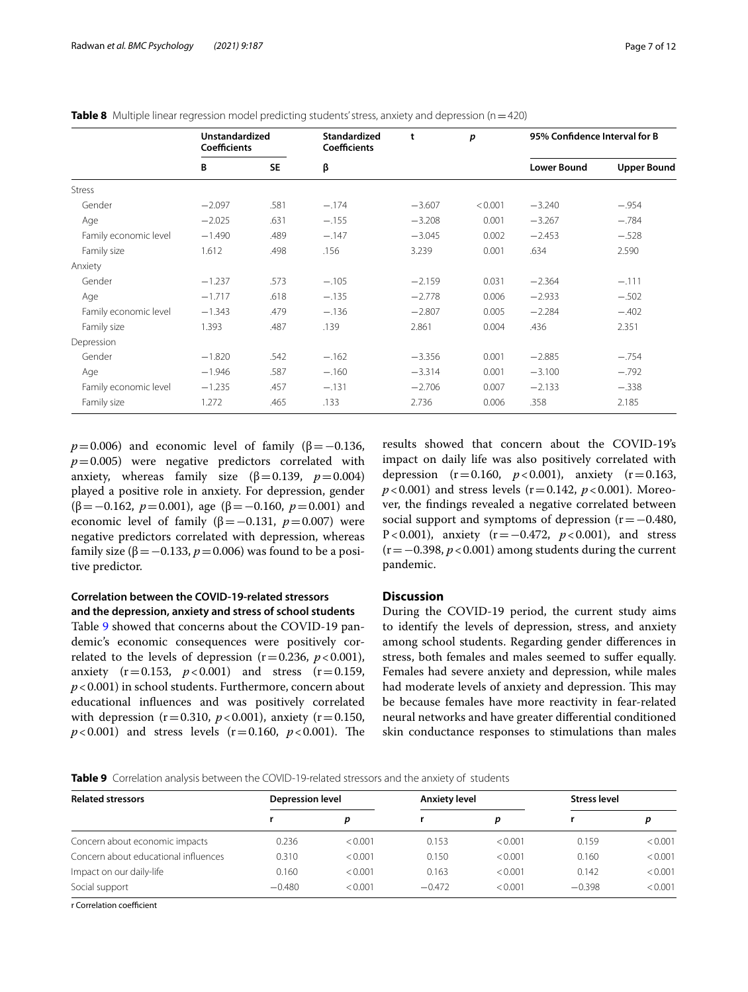<span id="page-6-0"></span>

| Table 8 Multiple linear regression model predicting students' stress, anxiety and depression (n = 420) |  |  |  |
|--------------------------------------------------------------------------------------------------------|--|--|--|
|                                                                                                        |  |  |  |

|                       | <b>Unstandardized</b><br><b>Coefficients</b> |           | Standardized<br><b>Coefficients</b> | t        | p       | 95% Confidence Interval for B |                    |
|-----------------------|----------------------------------------------|-----------|-------------------------------------|----------|---------|-------------------------------|--------------------|
|                       | B                                            | <b>SE</b> | β                                   |          |         | <b>Lower Bound</b>            | <b>Upper Bound</b> |
| <b>Stress</b>         |                                              |           |                                     |          |         |                               |                    |
| Gender                | $-2.097$                                     | .581      | $-.174$                             | $-3.607$ | < 0.001 | $-3.240$                      | $-.954$            |
| Age                   | $-2.025$                                     | .631      | $-.155$                             | $-3.208$ | 0.001   | $-3.267$                      | $-.784$            |
| Family economic level | $-1.490$                                     | .489      | $-.147$                             | $-3.045$ | 0.002   | $-2.453$                      | $-.528$            |
| Family size           | 1.612                                        | .498      | .156                                | 3.239    | 0.001   | .634                          | 2.590              |
| Anxiety               |                                              |           |                                     |          |         |                               |                    |
| Gender                | $-1.237$                                     | .573      | $-.105$                             | $-2.159$ | 0.031   | $-2.364$                      | $-.111$            |
| Age                   | $-1.717$                                     | .618      | $-.135$                             | $-2.778$ | 0.006   | $-2.933$                      | $-.502$            |
| Family economic level | $-1.343$                                     | .479      | $-.136$                             | $-2.807$ | 0.005   | $-2.284$                      | $-.402$            |
| Family size           | 1.393                                        | .487      | .139                                | 2.861    | 0.004   | .436                          | 2.351              |
| Depression            |                                              |           |                                     |          |         |                               |                    |
| Gender                | $-1.820$                                     | .542      | $-.162$                             | $-3.356$ | 0.001   | $-2.885$                      | $-.754$            |
| Age                   | $-1.946$                                     | .587      | $-.160$                             | $-3.314$ | 0.001   | $-3.100$                      | $-.792$            |
| Family economic level | $-1.235$                                     | .457      | $-.131$                             | $-2.706$ | 0.007   | $-2.133$                      | $-.338$            |
| Family size           | 1.272                                        | .465      | .133                                | 2.736    | 0.006   | .358                          | 2.185              |

 $p=0.006$ ) and economic level of family ( $\beta = -0.136$ ,  $p=0.005$ ) were negative predictors correlated with anxiety, whereas family size ( $β = 0.139$ ,  $p = 0.004$ ) played a positive role in anxiety. For depression, gender (β=−0.162, *p*=0.001), age (β=−0.160, *p*=0.001) and economic level of family ( $β = -0.131$ ,  $p = 0.007$ ) were negative predictors correlated with depression, whereas family size ( $β = -0.133, p = 0.006$ ) was found to be a positive predictor.

## **Correlation between the COVID‑19‑related stressors and the depression, anxiety and stress of school students**

Table [9](#page-6-1) showed that concerns about the COVID-19 pandemic's economic consequences were positively correlated to the levels of depression  $(r=0.236, p<0.001)$ , anxiety  $(r=0.153, p<0.001)$  and stress  $(r=0.159,$ *p*<0.001) in school students. Furthermore, concern about educational infuences and was positively correlated with depression ( $r = 0.310$ ,  $p < 0.001$ ), anxiety ( $r = 0.150$ ,  $p$ <0.001) and stress levels (r=0.160,  $p$ <0.001). The results showed that concern about the COVID-19's impact on daily life was also positively correlated with depression  $(r=0.160, p<0.001)$ , anxiety  $(r=0.163, p<0.001)$  $p$ <0.001) and stress levels (r=0.142,  $p$ <0.001). Moreover, the fndings revealed a negative correlated between social support and symptoms of depression (r=−0.480, P<0.001), anxiety (r = −0.472, *p* < 0.001), and stress (r=−0.398, *p*<0.001) among students during the current pandemic.

## **Discussion**

During the COVID-19 period, the current study aims to identify the levels of depression, stress, and anxiety among school students. Regarding gender diferences in stress, both females and males seemed to sufer equally. Females had severe anxiety and depression, while males had moderate levels of anxiety and depression. This may be because females have more reactivity in fear-related neural networks and have greater diferential conditioned skin conductance responses to stimulations than males

<span id="page-6-1"></span>

| <b>Table 9</b> Correlation analysis between the COVID-19-related stressors and the anxiety of students |
|--------------------------------------------------------------------------------------------------------|
|--------------------------------------------------------------------------------------------------------|

| <b>Related stressors</b>             | <b>Depression level</b> |         | <b>Anxiety level</b> |         | <b>Stress level</b> |         |
|--------------------------------------|-------------------------|---------|----------------------|---------|---------------------|---------|
|                                      |                         | p       |                      | D       |                     | D       |
| Concern about economic impacts       | 0.236                   | < 0.001 | 0.153                | < 0.001 | 0.159               | < 0.001 |
| Concern about educational influences | 0.310                   | < 0.001 | 0.150                | < 0.001 | 0.160               | < 0.001 |
| Impact on our daily-life             | 0.160                   | < 0.001 | 0.163                | < 0.001 | 0.142               | < 0.001 |
| Social support                       | $-0.480$                | < 0.001 | $-0.472$             | < 0.001 | $-0.398$            | < 0.001 |

r Correlation coefficient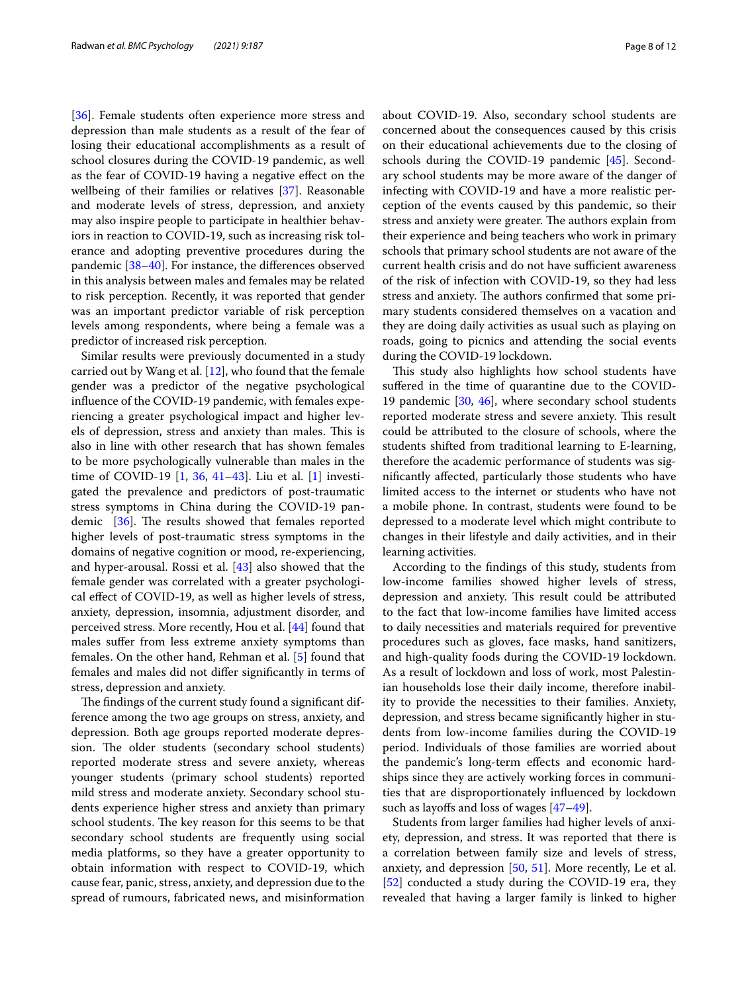[[36\]](#page-10-27). Female students often experience more stress and depression than male students as a result of the fear of losing their educational accomplishments as a result of school closures during the COVID-19 pandemic, as well as the fear of COVID-19 having a negative efect on the wellbeing of their families or relatives [\[37\]](#page-10-28). Reasonable and moderate levels of stress, depression, and anxiety may also inspire people to participate in healthier behaviors in reaction to COVID-19, such as increasing risk tolerance and adopting preventive procedures during the pandemic [[38](#page-10-29)[–40](#page-10-30)]. For instance, the diferences observed in this analysis between males and females may be related to risk perception. Recently, it was reported that gender was an important predictor variable of risk perception levels among respondents, where being a female was a predictor of increased risk perception.

Similar results were previously documented in a study carried out by Wang et al. [\[12](#page-10-6)], who found that the female gender was a predictor of the negative psychological infuence of the COVID-19 pandemic, with females experiencing a greater psychological impact and higher levels of depression, stress and anxiety than males. This is also in line with other research that has shown females to be more psychologically vulnerable than males in the time of COVID-19 [[1,](#page-9-0) [36](#page-10-27), [41](#page-10-31)[–43\]](#page-10-32). Liu et al. [\[1](#page-9-0)] investigated the prevalence and predictors of post-traumatic stress symptoms in China during the COVID-19 pandemic  $[36]$  $[36]$ . The results showed that females reported higher levels of post-traumatic stress symptoms in the domains of negative cognition or mood, re-experiencing, and hyper-arousal. Rossi et al. [\[43](#page-10-32)] also showed that the female gender was correlated with a greater psychological efect of COVID-19, as well as higher levels of stress, anxiety, depression, insomnia, adjustment disorder, and perceived stress. More recently, Hou et al. [[44](#page-10-33)] found that males sufer from less extreme anxiety symptoms than females. On the other hand, Rehman et al. [[5\]](#page-10-34) found that females and males did not difer signifcantly in terms of stress, depression and anxiety.

The findings of the current study found a significant difference among the two age groups on stress, anxiety, and depression. Both age groups reported moderate depression. The older students (secondary school students) reported moderate stress and severe anxiety, whereas younger students (primary school students) reported mild stress and moderate anxiety. Secondary school students experience higher stress and anxiety than primary school students. The key reason for this seems to be that secondary school students are frequently using social media platforms, so they have a greater opportunity to obtain information with respect to COVID-19, which cause fear, panic, stress, anxiety, and depression due to the spread of rumours, fabricated news, and misinformation about COVID-19. Also, secondary school students are concerned about the consequences caused by this crisis on their educational achievements due to the closing of schools during the COVID-19 pandemic [[45](#page-10-35)]. Secondary school students may be more aware of the danger of infecting with COVID-19 and have a more realistic perception of the events caused by this pandemic, so their stress and anxiety were greater. The authors explain from their experience and being teachers who work in primary schools that primary school students are not aware of the current health crisis and do not have sufficient awareness of the risk of infection with COVID-19, so they had less stress and anxiety. The authors confirmed that some primary students considered themselves on a vacation and they are doing daily activities as usual such as playing on roads, going to picnics and attending the social events during the COVID-19 lockdown.

This study also highlights how school students have sufered in the time of quarantine due to the COVID-19 pandemic [\[30](#page-10-21), [46\]](#page-10-36), where secondary school students reported moderate stress and severe anxiety. This result could be attributed to the closure of schools, where the students shifted from traditional learning to E-learning, therefore the academic performance of students was signifcantly afected, particularly those students who have limited access to the internet or students who have not a mobile phone. In contrast, students were found to be depressed to a moderate level which might contribute to changes in their lifestyle and daily activities, and in their learning activities.

According to the fndings of this study, students from low-income families showed higher levels of stress, depression and anxiety. This result could be attributed to the fact that low-income families have limited access to daily necessities and materials required for preventive procedures such as gloves, face masks, hand sanitizers, and high-quality foods during the COVID-19 lockdown. As a result of lockdown and loss of work, most Palestinian households lose their daily income, therefore inability to provide the necessities to their families. Anxiety, depression, and stress became signifcantly higher in students from low-income families during the COVID-19 period. Individuals of those families are worried about the pandemic's long-term efects and economic hardships since they are actively working forces in communities that are disproportionately infuenced by lockdown such as layoffs and loss of wages  $[47-49]$  $[47-49]$  $[47-49]$ .

Students from larger families had higher levels of anxiety, depression, and stress. It was reported that there is a correlation between family size and levels of stress, anxiety, and depression [\[50](#page-11-2), [51](#page-11-3)]. More recently, Le et al. [[52\]](#page-11-4) conducted a study during the COVID-19 era, they revealed that having a larger family is linked to higher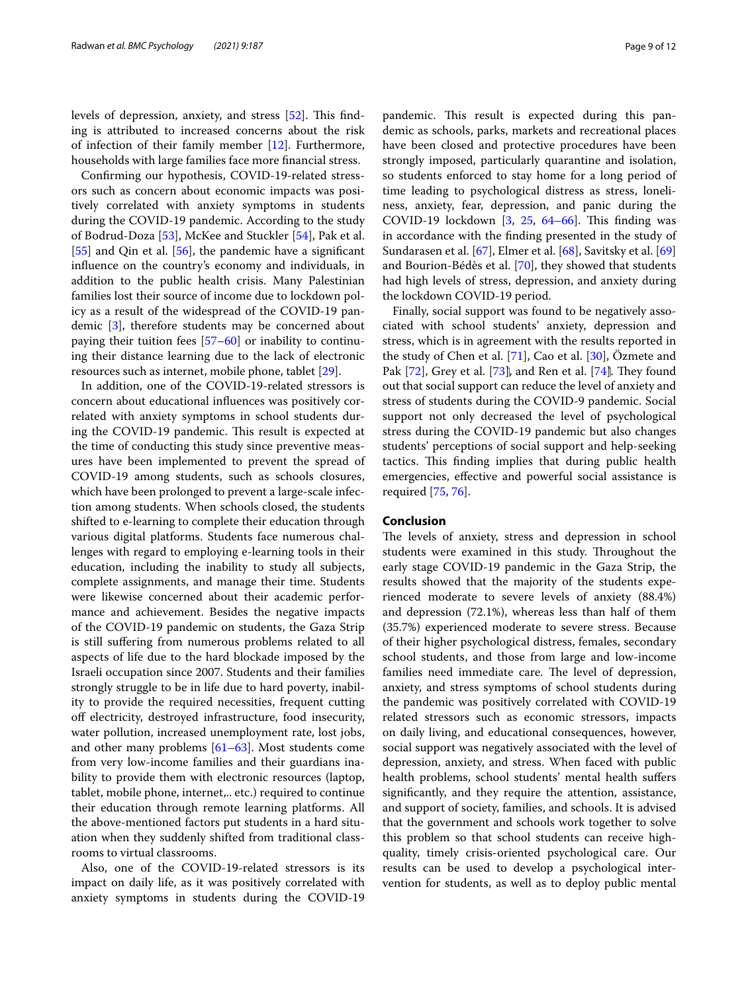levels of depression, anxiety, and stress [\[52\]](#page-11-4). This finding is attributed to increased concerns about the risk of infection of their family member [\[12](#page-10-6)]. Furthermore, households with large families face more fnancial stress.

Confrming our hypothesis, COVID-19-related stressors such as concern about economic impacts was positively correlated with anxiety symptoms in students during the COVID-19 pandemic. According to the study of Bodrud-Doza [\[53\]](#page-11-5), McKee and Stuckler [[54\]](#page-11-6), Pak et al. [[55\]](#page-11-7) and Qin et al. [\[56](#page-11-8)], the pandemic have a significant infuence on the country's economy and individuals, in addition to the public health crisis. Many Palestinian families lost their source of income due to lockdown policy as a result of the widespread of the COVID-19 pandemic [\[3](#page-9-1)], therefore students may be concerned about paying their tuition fees [\[57–](#page-11-9)[60\]](#page-11-10) or inability to continuing their distance learning due to the lack of electronic resources such as internet, mobile phone, tablet [[29](#page-10-20)].

In addition, one of the COVID-19-related stressors is concern about educational infuences was positively correlated with anxiety symptoms in school students during the COVID-19 pandemic. This result is expected at the time of conducting this study since preventive measures have been implemented to prevent the spread of COVID-19 among students, such as schools closures, which have been prolonged to prevent a large-scale infection among students. When schools closed, the students shifted to e-learning to complete their education through various digital platforms. Students face numerous challenges with regard to employing e-learning tools in their education, including the inability to study all subjects, complete assignments, and manage their time. Students were likewise concerned about their academic performance and achievement. Besides the negative impacts of the COVID-19 pandemic on students, the Gaza Strip is still sufering from numerous problems related to all aspects of life due to the hard blockade imposed by the Israeli occupation since 2007. Students and their families strongly struggle to be in life due to hard poverty, inability to provide the required necessities, frequent cutting of electricity, destroyed infrastructure, food insecurity, water pollution, increased unemployment rate, lost jobs, and other many problems  $[61–63]$  $[61–63]$ . Most students come from very low-income families and their guardians inability to provide them with electronic resources (laptop, tablet, mobile phone, internet,.. etc.) required to continue their education through remote learning platforms. All the above-mentioned factors put students in a hard situation when they suddenly shifted from traditional classrooms to virtual classrooms.

Also, one of the COVID-19-related stressors is its impact on daily life, as it was positively correlated with anxiety symptoms in students during the COVID-19 pandemic. This result is expected during this pandemic as schools, parks, markets and recreational places have been closed and protective procedures have been strongly imposed, particularly quarantine and isolation, so students enforced to stay home for a long period of time leading to psychological distress as stress, loneliness, anxiety, fear, depression, and panic during the COVID-19 lockdown  $\left[3, 25, 64-66\right]$  $\left[3, 25, 64-66\right]$  $\left[3, 25, 64-66\right]$  $\left[3, 25, 64-66\right]$  $\left[3, 25, 64-66\right]$  $\left[3, 25, 64-66\right]$  $\left[3, 25, 64-66\right]$ . This finding was in accordance with the fnding presented in the study of Sundarasen et al. [\[67\]](#page-11-15), Elmer et al. [[68\]](#page-11-16), Savitsky et al. [[69](#page-11-17)] and Bourion-Bédès et al. [[70\]](#page-11-18), they showed that students had high levels of stress, depression, and anxiety during the lockdown COVID-19 period.

Finally, social support was found to be negatively associated with school students' anxiety, depression and stress, which is in agreement with the results reported in the study of Chen et al.  $[71]$  $[71]$ , Cao et al.  $[30]$  $[30]$ , Özmete and Pak  $[72]$  $[72]$  $[72]$ , Grey et al.  $[73]$  $[73]$  $[73]$ , and Ren et al.  $[74]$  $[74]$ . They found out that social support can reduce the level of anxiety and stress of students during the COVID-9 pandemic. Social support not only decreased the level of psychological stress during the COVID-19 pandemic but also changes students' perceptions of social support and help-seeking tactics. This finding implies that during public health emergencies, efective and powerful social assistance is required [\[75](#page-11-23), [76](#page-11-24)].

## **Conclusion**

The levels of anxiety, stress and depression in school students were examined in this study. Throughout the early stage COVID-19 pandemic in the Gaza Strip, the results showed that the majority of the students experienced moderate to severe levels of anxiety (88.4%) and depression (72.1%), whereas less than half of them (35.7%) experienced moderate to severe stress. Because of their higher psychological distress, females, secondary school students, and those from large and low-income families need immediate care. The level of depression, anxiety, and stress symptoms of school students during the pandemic was positively correlated with COVID-19 related stressors such as economic stressors, impacts on daily living, and educational consequences, however, social support was negatively associated with the level of depression, anxiety, and stress. When faced with public health problems, school students' mental health sufers signifcantly, and they require the attention, assistance, and support of society, families, and schools. It is advised that the government and schools work together to solve this problem so that school students can receive highquality, timely crisis-oriented psychological care. Our results can be used to develop a psychological intervention for students, as well as to deploy public mental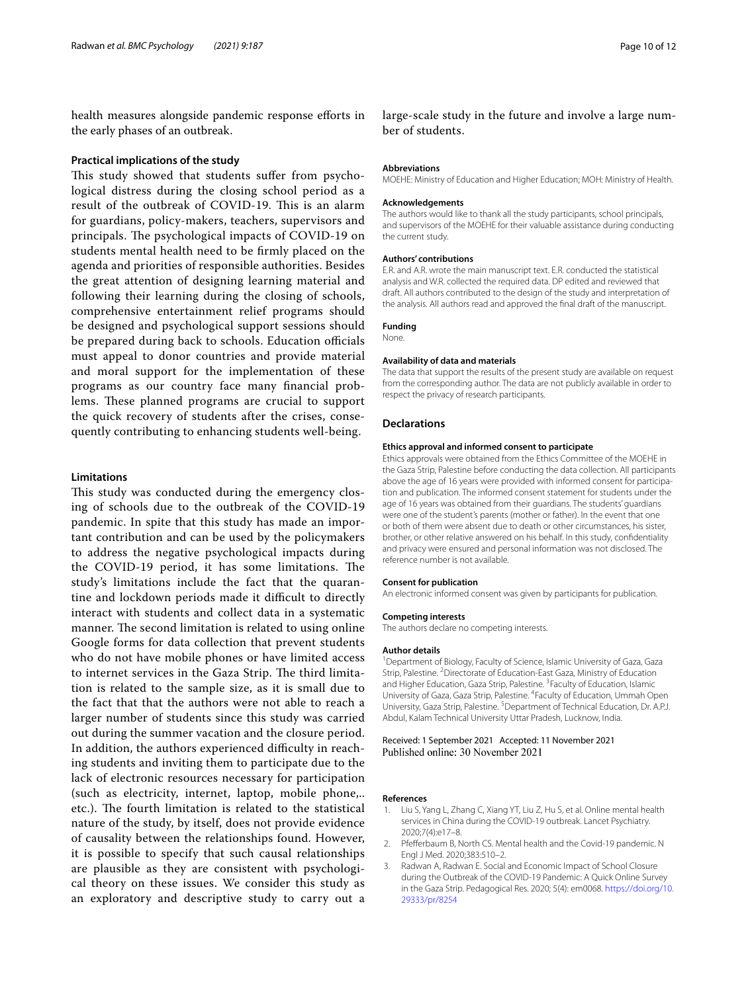health measures alongside pandemic response eforts in the early phases of an outbreak.

#### **Practical implications of the study**

This study showed that students suffer from psychological distress during the closing school period as a result of the outbreak of COVID-19. This is an alarm for guardians, policy-makers, teachers, supervisors and principals. The psychological impacts of COVID-19 on students mental health need to be frmly placed on the agenda and priorities of responsible authorities. Besides the great attention of designing learning material and following their learning during the closing of schools, comprehensive entertainment relief programs should be designed and psychological support sessions should be prepared during back to schools. Education officials must appeal to donor countries and provide material and moral support for the implementation of these programs as our country face many fnancial problems. These planned programs are crucial to support the quick recovery of students after the crises, consequently contributing to enhancing students well-being.

## **Limitations**

This study was conducted during the emergency closing of schools due to the outbreak of the COVID-19 pandemic. In spite that this study has made an important contribution and can be used by the policymakers to address the negative psychological impacts during the COVID-19 period, it has some limitations. The study's limitations include the fact that the quarantine and lockdown periods made it difficult to directly interact with students and collect data in a systematic manner. The second limitation is related to using online Google forms for data collection that prevent students who do not have mobile phones or have limited access to internet services in the Gaza Strip. The third limitation is related to the sample size, as it is small due to the fact that that the authors were not able to reach a larger number of students since this study was carried out during the summer vacation and the closure period. In addition, the authors experienced difficulty in reaching students and inviting them to participate due to the lack of electronic resources necessary for participation (such as electricity, internet, laptop, mobile phone,.. etc.). The fourth limitation is related to the statistical nature of the study, by itself, does not provide evidence of causality between the relationships found. However, it is possible to specify that such causal relationships are plausible as they are consistent with psychological theory on these issues. We consider this study as an exploratory and descriptive study to carry out a large-scale study in the future and involve a large number of students.

## **Abbreviations**

MOEHE: Ministry of Education and Higher Education; MOH: Ministry of Health.

#### **Acknowledgements**

The authors would like to thank all the study participants, school principals, and supervisors of the MOEHE for their valuable assistance during conducting the current study.

#### **Authors' contributions**

E.R. and A.R. wrote the main manuscript text. E.R. conducted the statistical analysis and W.R. collected the required data. DP edited and reviewed that draft. All authors contributed to the design of the study and interpretation of the analysis. All authors read and approved the fnal draft of the manuscript.

#### **Funding**

None.

## **Availability of data and materials**

The data that support the results of the present study are available on request from the corresponding author. The data are not publicly available in order to respect the privacy of research participants.

#### **Declarations**

#### **Ethics approval and informed consent to participate**

Ethics approvals were obtained from the Ethics Committee of the MOEHE in the Gaza Strip, Palestine before conducting the data collection. All participants above the age of 16 years were provided with informed consent for participation and publication. The informed consent statement for students under the age of 16 years was obtained from their guardians. The students' guardians were one of the student's parents (mother or father). In the event that one or both of them were absent due to death or other circumstances, his sister, brother, or other relative answered on his behalf. In this study, confdentiality and privacy were ensured and personal information was not disclosed. The reference number is not available.

#### **Consent for publication**

An electronic informed consent was given by participants for publication.

## **Competing interests**

The authors declare no competing interests.

#### **Author details**

<sup>1</sup> Department of Biology, Faculty of Science, Islamic University of Gaza, Gaza Strip, Palestine. <sup>2</sup> Directorate of Education-East Gaza, Ministry of Education and Higher Education, Gaza Strip, Palestine. <sup>3</sup> Faculty of Education, Islamic University of Gaza, Gaza Strip, Palestine. <sup>4</sup> Faculty of Education, Ummah Open University, Gaza Strip, Palestine. <sup>5</sup> Department of Technical Education, Dr. A.P.J. Abdul, Kalam Technical University Uttar Pradesh, Lucknow, India.

#### Received: 1 September 2021 Accepted: 11 November 2021 Published online: 30 November 2021

#### **References**

- <span id="page-9-0"></span>1. Liu S, Yang L, Zhang C, Xiang YT, Liu Z, Hu S, et al. Online mental health services in China during the COVID-19 outbreak. Lancet Psychiatry. 2020;7(4):e17–8.
- 2. Pfefferbaum B, North CS. Mental health and the Covid-19 pandemic. N Engl J Med. 2020;383:510–2.
- <span id="page-9-1"></span>3. Radwan A, Radwan E. Social and Economic Impact of School Closure during the Outbreak of the COVID-19 Pandemic: A Quick Online Survey in the Gaza Strip. Pedagogical Res. 2020; 5(4): em0068. [https://doi.org/10.](https://doi.org/10.29333/pr/8254) [29333/pr/8254](https://doi.org/10.29333/pr/8254)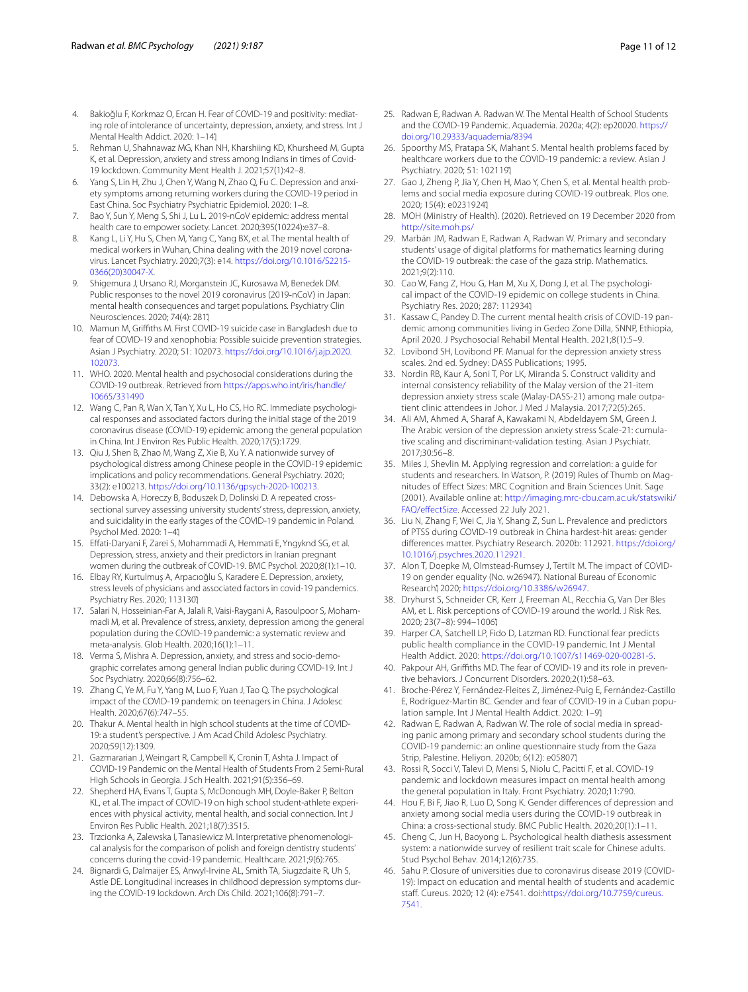- <span id="page-10-0"></span>4. Bakioğlu F, Korkmaz O, Ercan H. Fear of COVID-19 and positivity: mediating role of intolerance of uncertainty, depression, anxiety, and stress. Int J Mental Health Addict. 2020: 1–14.
- <span id="page-10-34"></span>5. Rehman U, Shahnawaz MG, Khan NH, Kharshiing KD, Khursheed M, Gupta K, et al. Depression, anxiety and stress among Indians in times of Covid-19 lockdown. Community Ment Health J. 2021;57(1):42–8.
- <span id="page-10-1"></span>6. Yang S, Lin H, Zhu J, Chen Y, Wang N, Zhao Q, Fu C. Depression and anxiety symptoms among returning workers during the COVID-19 period in East China. Soc Psychiatry Psychiatric Epidemiol. 2020: 1–8.
- <span id="page-10-2"></span>7. Bao Y, Sun Y, Meng S, Shi J, Lu L. 2019-nCoV epidemic: address mental health care to empower society. Lancet. 2020;395(10224):e37–8.
- 8. Kang L, Li Y, Hu S, Chen M, Yang C, Yang BX, et al. The mental health of medical workers in Wuhan, China dealing with the 2019 novel coronavirus. Lancet Psychiatry. 2020;7(3): e14. [https://doi.org/10.1016/S2215-](https://doi.org/10.1016/S2215-0366(20)30047-X) [0366\(20\)30047-X](https://doi.org/10.1016/S2215-0366(20)30047-X).
- <span id="page-10-3"></span>9. Shigemura J, Ursano RJ, Morganstein JC, Kurosawa M, Benedek DM. Public responses to the novel 2019 coronavirus (2019-nCoV) in Japan: mental health consequences and target populations. Psychiatry Clin Neurosciences. 2020; 74(4): 2811
- <span id="page-10-4"></span>10. Mamun M, Grifths M. First COVID-19 suicide case in Bangladesh due to fear of COVID-19 and xenophobia: Possible suicide prevention strategies. Asian J Psychiatry. 2020; 51: 102073. [https://doi.org/10.1016/j.ajp.2020.](https://doi.org/10.1016/j.ajp.2020.102073) [102073.](https://doi.org/10.1016/j.ajp.2020.102073)
- <span id="page-10-5"></span>11. WHO. 2020. Mental health and psychosocial considerations during the COVID-19 outbreak. Retrieved from [https://apps.who.int/iris/handle/](https://apps.who.int/iris/handle/10665/331490) [10665/331490](https://apps.who.int/iris/handle/10665/331490)
- <span id="page-10-6"></span>12. Wang C, Pan R, Wan X, Tan Y, Xu L, Ho CS, Ho RC. Immediate psychological responses and associated factors during the initial stage of the 2019 coronavirus disease (COVID-19) epidemic among the general population in China. Int J Environ Res Public Health. 2020;17(5):1729.
- <span id="page-10-7"></span>13. Qiu J, Shen B, Zhao M, Wang Z, Xie B, Xu Y. A nationwide survey of psychological distress among Chinese people in the COVID-19 epidemic: implications and policy recommendations. General Psychiatry. 2020; 33(2): e100213. [https://doi.org/10.1136/gpsych-2020-100213.](https://doi.org/10.1136/gpsych-2020-100213)
- <span id="page-10-8"></span>14. Debowska A, Horeczy B, Boduszek D, Dolinski D. A repeated crosssectional survey assessing university students' stress, depression, anxiety, and suicidality in the early stages of the COVID-19 pandemic in Poland. Psychol Med. 2020: 1–4.
- 15. Efati-Daryani F, Zarei S, Mohammadi A, Hemmati E, Yngyknd SG, et al. Depression, stress, anxiety and their predictors in Iranian pregnant women during the outbreak of COVID-19. BMC Psychol. 2020;8(1):1–10.
- 16. Elbay RY, Kurtulmuş A, Arpacıoğlu S, Karadere E. Depression, anxiety, stress levels of physicians and associated factors in covid-19 pandemics. Psychiatry Res. 2020; 113130.
- 17. Salari N, Hosseinian-Far A, Jalali R, Vaisi-Raygani A, Rasoulpoor S, Mohammadi M, et al. Prevalence of stress, anxiety, depression among the general population during the COVID-19 pandemic: a systematic review and meta-analysis. Glob Health. 2020;16(1):1–11.
- <span id="page-10-9"></span>18. Verma S, Mishra A. Depression, anxiety, and stress and socio-demographic correlates among general Indian public during COVID-19. Int J Soc Psychiatry. 2020;66(8):756–62.
- <span id="page-10-10"></span>19. Zhang C, Ye M, Fu Y, Yang M, Luo F, Yuan J, Tao Q. The psychological impact of the COVID-19 pandemic on teenagers in China. J Adolesc Health. 2020;67(6):747–55.
- <span id="page-10-11"></span>20. Thakur A. Mental health in high school students at the time of COVID-19: a student's perspective. J Am Acad Child Adolesc Psychiatry. 2020;59(12):1309.
- <span id="page-10-12"></span>21. Gazmararian J, Weingart R, Campbell K, Cronin T, Ashta J. Impact of COVID-19 Pandemic on the Mental Health of Students From 2 Semi-Rural High Schools in Georgia. J Sch Health. 2021;91(5):356–69.
- <span id="page-10-13"></span>22. Shepherd HA, Evans T, Gupta S, McDonough MH, Doyle-Baker P, Belton KL, et al. The impact of COVID-19 on high school student-athlete experiences with physical activity, mental health, and social connection. Int J Environ Res Public Health. 2021;18(7):3515.
- <span id="page-10-14"></span>23. Trzcionka A, Zalewska I, Tanasiewicz M. Interpretative phenomenological analysis for the comparison of polish and foreign dentistry students' concerns during the covid-19 pandemic. Healthcare. 2021;9(6):765.
- <span id="page-10-15"></span>24. Bignardi G, Dalmaijer ES, Anwyl-Irvine AL, Smith TA, Siugzdaite R, Uh S, Astle DE. Longitudinal increases in childhood depression symptoms during the COVID-19 lockdown. Arch Dis Child. 2021;106(8):791–7.
- <span id="page-10-16"></span>25. Radwan E, Radwan A. Radwan W. The Mental Health of School Students and the COVID-19 Pandemic. Aquademia. 2020a; 4(2): ep20020. [https://](https://doi.org/10.29333/aquademia/8394) [doi.org/10.29333/aquademia/8394](https://doi.org/10.29333/aquademia/8394)
- <span id="page-10-17"></span>26. Spoorthy MS, Pratapa SK, Mahant S. Mental health problems faced by healthcare workers due to the COVID-19 pandemic: a review. Asian J Psychiatry. 2020; 51: 102119.
- <span id="page-10-18"></span>27. Gao J, Zheng P, Jia Y, Chen H, Mao Y, Chen S, et al. Mental health problems and social media exposure during COVID-19 outbreak. Plos one. 2020: 15(4): e02319241
- <span id="page-10-19"></span>28. MOH (Ministry of Health). (2020). Retrieved on 19 December 2020 from <http://site.moh.ps/>
- <span id="page-10-20"></span>29. Marbán JM, Radwan E, Radwan A, Radwan W. Primary and secondary students' usage of digital platforms for mathematics learning during the COVID-19 outbreak: the case of the gaza strip. Mathematics. 2021;9(2):110.
- <span id="page-10-21"></span>30. Cao W, Fang Z, Hou G, Han M, Xu X, Dong J, et al. The psychological impact of the COVID-19 epidemic on college students in China. Psychiatry Res. 2020; 287: 1129341
- <span id="page-10-22"></span>31. Kassaw C, Pandey D. The current mental health crisis of COVID-19 pandemic among communities living in Gedeo Zone Dilla, SNNP, Ethiopia, April 2020. J Psychosocial Rehabil Mental Health. 2021;8(1):5–9.
- <span id="page-10-23"></span>32. Lovibond SH, Lovibond PF. Manual for the depression anxiety stress scales. 2nd ed. Sydney: DASS Publications; 1995.
- <span id="page-10-24"></span>33. Nordin RB, Kaur A, Soni T, Por LK, Miranda S. Construct validity and internal consistency reliability of the Malay version of the 21-item depression anxiety stress scale (Malay-DASS-21) among male outpatient clinic attendees in Johor. J Med J Malaysia. 2017;72(5):265.
- <span id="page-10-25"></span>34. Ali AM, Ahmed A, Sharaf A, Kawakami N, Abdeldayem SM, Green J. The Arabic version of the depression anxiety stress Scale-21: cumulative scaling and discriminant-validation testing. Asian J Psychiatr. 2017;30:56–8.
- <span id="page-10-26"></span>35. Miles J, Shevlin M. Applying regression and correlation: a guide for students and researchers. In Watson, P. (2019) Rules of Thumb on Magnitudes of Efect Sizes: MRC Cognition and Brain Sciences Unit. Sage (2001). Available online at: [http://imaging.mrc-cbu.cam.ac.uk/statswiki/](http://imaging.mrc-cbu.cam.ac.uk/statswiki/FAQ/effectSize) FAQ/effectSize. Accessed 22 July 2021.
- <span id="page-10-27"></span>36. Liu N, Zhang F, Wei C, Jia Y, Shang Z, Sun L. Prevalence and predictors of PTSS during COVID-19 outbreak in China hardest-hit areas: gender diferences matter. Psychiatry Research. 2020b: 112921. [https://doi.org/](https://doi.org/10.1016/j.psychres.2020.112921) [10.1016/j.psychres.2020.112921.](https://doi.org/10.1016/j.psychres.2020.112921)
- <span id="page-10-28"></span>37. Alon T, Doepke M, Olmstead-Rumsey J, Tertilt M. The impact of COVID-19 on gender equality (No. w26947). National Bureau of Economic Research<sup>1</sup> 2020; https://doi.org/10.3386/w26947
- <span id="page-10-29"></span>38. Dryhurst S, Schneider CR, Kerr J, Freeman AL, Recchia G, Van Der Bles AM, et L. Risk perceptions of COVID-19 around the world. J Risk Res. 2020; 23(7-8): 994-1006)
- 39. Harper CA, Satchell LP, Fido D, Latzman RD. Functional fear predicts public health compliance in the COVID-19 pandemic. Int J Mental Health Addict. 2020: [https://doi.org/10.1007/s11469-020-00281-5.](https://doi.org/10.1007/s11469-020-00281-5)
- <span id="page-10-30"></span>40. Pakpour AH, Grifths MD. The fear of COVID-19 and its role in preventive behaviors. J Concurrent Disorders. 2020;2(1):58–63.
- <span id="page-10-31"></span>41. Broche-Pérez Y, Fernández-Fleites Z, Jiménez-Puig E, Fernández-Castillo E, Rodríguez-Martin BC. Gender and fear of COVID-19 in a Cuban population sample. Int J Mental Health Addict. 2020: 1–9.
- 42. Radwan E, Radwan A, Radwan W. The role of social media in spreading panic among primary and secondary school students during the COVID-19 pandemic: an online questionnaire study from the Gaza Strip, Palestine. Heliyon. 2020b; 6(12): e05807.
- <span id="page-10-32"></span>43. Rossi R, Socci V, Talevi D, Mensi S, Niolu C, Pacitti F, et al. COVID-19 pandemic and lockdown measures impact on mental health among the general population in Italy. Front Psychiatry. 2020;11:790.
- <span id="page-10-33"></span>44. Hou F, Bi F, Jiao R, Luo D, Song K. Gender diferences of depression and anxiety among social media users during the COVID-19 outbreak in China: a cross-sectional study. BMC Public Health. 2020;20(1):1–11.
- <span id="page-10-35"></span>45. Cheng C, Jun H, Baoyong L. Psychological health diathesis assessment system: a nationwide survey of resilient trait scale for Chinese adults. Stud Psychol Behav. 2014;12(6):735.
- <span id="page-10-36"></span>46. Sahu P. Closure of universities due to coronavirus disease 2019 (COVID-19): Impact on education and mental health of students and academic staff. Cureus. 2020; 12 (4): e7541. doi:[https://doi.org/10.7759/cureus.](https://doi.org/10.7759/cureus.7541.) [7541.](https://doi.org/10.7759/cureus.7541.)